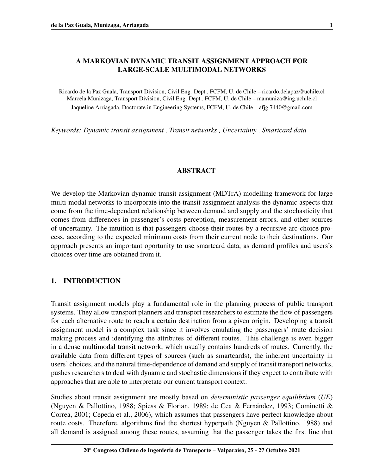Ricardo de la Paz Guala, Transport Division, Civil Eng. Dept., FCFM, U. de Chile – ricardo.delapaz@uchile.cl Marcela Munizaga, Transport Division, Civil Eng. Dept., FCFM, U. de Chile – mamuniza@ing.uchile.cl Jaqueline Arriagada, Doctorate in Engineering Systems, FCFM, U. de Chile – afjg.7440@gmail.com

*Keywords: Dynamic transit assignment , Transit networks , Uncertainty , Smartcard data*

# ABSTRACT

We develop the Markovian dynamic transit assignment (MDTrA) modelling framework for large multi-modal networks to incorporate into the transit assignment analysis the dynamic aspects that come from the time-dependent relationship between demand and supply and the stochasticity that comes from differences in passenger's costs perception, measurement errors, and other sources of uncertainty. The intuition is that passengers choose their routes by a recursive arc-choice process, according to the expected minimum costs from their current node to their destinations. Our approach presents an important oportunity to use smartcard data, as demand profiles and users's choices over time are obtained from it.

# 1. INTRODUCTION

Transit assignment models play a fundamental role in the planning process of public transport systems. They allow transport planners and transport researchers to estimate the flow of passengers for each alternative route to reach a certain destination from a given origin. Developing a transit assignment model is a complex task since it involves emulating the passengers' route decision making process and identifying the attributes of different routes. This challenge is even bigger in a dense multimodal transit network, which usually contains hundreds of routes. Currently, the available data from different types of sources (such as smartcards), the inherent uncertainty in users' choices, and the natural time-dependence of demand and supply of transit transport networks, pushes researchers to deal with dynamic and stochastic dimensions if they expect to contribute with approaches that are able to interpretate our current transport context.

Studies about transit assignment are mostly based on *deterministic passenger equilibrium* (*UE*) [\(Nguyen & Pallottino, 1988;](#page-14-0) [Spiess & Florian, 1989;](#page-14-1) [de Cea & Fernandez, 1993;](#page-13-0) [Cominetti &](#page-13-1) ´ [Correa, 2001;](#page-13-1) [Cepeda et al., 2006\)](#page-13-2), which assumes that passengers have perfect knowledge about route costs. Therefore, algorithms find the shortest hyperpath [\(Nguyen & Pallottino, 1988\)](#page-14-0) and all demand is assigned among these routes, assuming that the passenger takes the first line that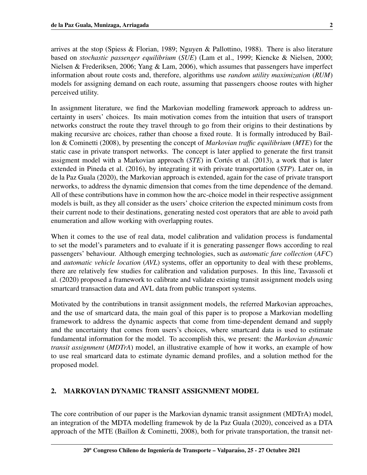arrives at the stop [\(Spiess & Florian, 1989;](#page-14-1) [Nguyen & Pallottino, 1988\)](#page-14-0). There is also literature based on *stochastic passenger equilibrium* (*SUE*) [\(Lam et al., 1999;](#page-14-2) [Kiencke & Nielsen, 2000;](#page-14-3) [Nielsen & Frederiksen, 2006;](#page-14-4) [Yang & Lam, 2006\)](#page-14-5), which assumes that passengers have imperfect information about route costs and, therefore, algorithms use *random utility maximization* (*RUM*) models for assigning demand on each route, assuming that passengers choose routes with higher perceived utility.

In assignment literature, we find the Markovian modelling framework approach to address uncertainty in users' choices. Its main motivation comes from the intuition that users of transport networks construct the route they travel through to go from their origins to their destinations by making recursive arc choices, rather than choose a fixed route. It is formally introduced by [Bail](#page-13-3)[lon & Cominetti](#page-13-3) [\(2008\)](#page-13-3), by presenting the concept of *Markovian traffic equilibrium* (*MTE*) for the static case in private transport networks. The concept is later applied to generate the first transit assigment model with a Markovian approach (*STE*) in Cortés et al. [\(2013\)](#page-13-4), a work that is later extended in [Pineda et al.](#page-14-6) [\(2016\)](#page-14-6), by integrating it with private transportation (*STP*). Later on, in [de la Paz Guala](#page-13-5) [\(2020\)](#page-13-5), the Markovian approach is extended, again for the case of private transport nerworks, to address the dynamic dimension that comes from the time dependence of the demand. All of these contributions have in common how the arc-choice model in their respective assignment models is built, as they all consider as the users' choice criterion the expected minimum costs from their current node to their destinations, generating nested cost operators that are able to avoid path enumeration and allow working with overlapping routes.

When it comes to the use of real data, model calibration and validation process is fundamental to set the model's parameters and to evaluate if it is generating passenger flows according to real passengers' behaviour. Although emerging technologies, such as *automatic fare collection* (*AFC*) and *automatic vehicle location* (*AVL*) systems, offer an opportunity to deal with these problems, there are relatively few studies for calibration and validation purposes. In this line, [Tavassoli et](#page-14-7) [al.](#page-14-7) [\(2020\)](#page-14-7) proposed a framework to calibrate and validate existing transit assignment models using smartcard transaction data and AVL data from public transport systems.

Motivated by the contributions in transit assignment models, the referred Markovian approaches, and the use of smartcard data, the main goal of this paper is to propose a Markovian modelling framework to address the dynamic aspects that come from time-dependent demand and supply and the uncertainty that comes from users's choices, where smartcard data is used to estimate fundamental information for the model. To accomplish this, we present: the *Markovian dynamic transit assignment* (*MDTrA*) model, an illustrative example of how it works, an example of how to use real smartcard data to estimate dynamic demand profiles, and a solution method for the proposed model.

## 2. MARKOVIAN DYNAMIC TRANSIT ASSIGNMENT MODEL

The core contribution of our paper is the Markovian dynamic transit assignment (MDTrA) model, an integration of the MDTA modelling framewok by [de la Paz Guala](#page-13-5) [\(2020\)](#page-13-5), conceived as a DTA approach of the MTE (Baillon  $&$  Cominetti, 2008), both for private transportation, the transit net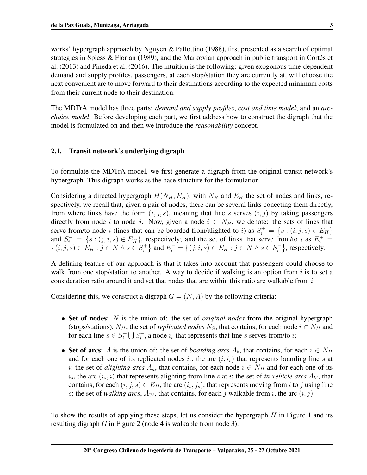works' hypergraph approach by [Nguyen & Pallottino](#page-14-0) [\(1988\)](#page-14-0), first presented as a search of optimal strategies in [Spiess & Florian](#page-14-1) [\(1989\)](#page-14-1), and the Markovian approach in public transport in Cortés et [al.](#page-13-4) [\(2013\)](#page-13-4) and [Pineda et al.](#page-14-6) [\(2016\)](#page-14-6). The intuition is the following: given exogonous time-dependent demand and supply profiles, passengers, at each stop/station they are currently at, will choose the next convenient arc to move forward to their destinations according to the expected minimum costs from their current node to their destination.

The MDTrA model has three parts: *demand and supply profiles*, *cost and time model*; and an *arcchoice model*. Before developing each part, we first address how to construct the digraph that the model is formulated on and then we introduce the *reasonability* concept.

## 2.1. Transit network's underlying digraph

To formulate the MDTrA model, we first generate a digraph from the original transit network's hypergraph. This digraph works as the base structure for the formulation.

Considering a directed hypergraph  $H(N_H, E_H)$ , with  $N_H$  and  $E_H$  the set of nodes and links, respectively, we recall that, given a pair of nodes, there can be several links conecting them directly, from where links have the form  $(i, j, s)$ , meaning that line s serves  $(i, j)$  by taking passengers directly from node i to node j. Now, given a node  $i \in N_H$ , we denote: the sets of lines that serve from/to node *i* (lines that can be boarded from/alighted to *i*) as  $S_i^+ = \{s : (i, j, s) \in E_H\}$ and  $S_i^- = \{s : (j, i, s) \in E_H\}$ , respectively; and the set of links that serve from/to i as  $E_i^+ = \{(i, j, s) \in E_H : j \in N \land s \in S_i^+\}$  and  $E_i^- = \{(j, i, s) \in E_H : j \in N \land s \in S_i^-\}$ , respectively.  $\{f_i^+\}$  and  $E_i^- = \{(j, i, s) \in E_H : j \in N \land s \in S_i^- \}$  $\binom{1}{i}$ , respectively.

A defining feature of our approach is that it takes into account that passengers could choose to walk from one stop/station to another. A way to decide if walking is an option from  $i$  is to set a consideration ratio around it and set that nodes that are within this ratio are walkable from  $i$ .

Considering this, we construct a digraph  $G = (N, A)$  by the following criteria:

- Set of nodes: N is the union of: the set of *original nodes* from the original hypergraph (stops/stations),  $N_H$ ; the set of *replicated nodes*  $N_S$ , that contains, for each node  $i \in N_H$  and for each line  $s \in S_i^+$  $S_i^+ \bigcup S_i^$  $i_i$ , a node  $i_s$  that represents that line s serves from/to  $i$ ;
- Set of arcs: A is the union of: the set of *boarding arcs*  $A_b$ , that contains, for each  $i \in N_H$ and for each one of its replicated nodes  $i_s$ , the arc  $(i, i_s)$  that represents boarding line s at i; the set of *alighting arcs*  $A_a$ , that contains, for each node  $i \in N_H$  and for each one of its  $i_s$ , the arc  $(i_s, i)$  that represents alighting from line s at i; the set of *in-vehicle arcs*  $A_V$ , that contains, for each  $(i, j, s) \in E_H$ , the arc  $(i_s, j_s)$ , that represents moving from i to j using line s; the set of *walking arcs*,  $A_W$ , that contains, for each j walkable from i, the arc  $(i, j)$ .

To show the results of applying these steps, let us consider the hypergraph  $H$  in Figure [1](#page-3-0) and its resulting digraph G in Figure [2](#page-3-1) (node 4 is walkable from node 3).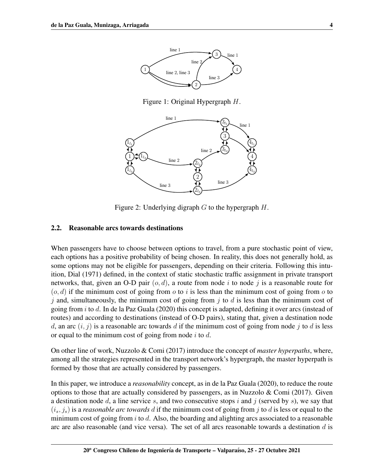

<span id="page-3-1"></span><span id="page-3-0"></span>Figure 1: Original Hypergraph H.



Figure 2: Underlying digraph  $G$  to the hypergraph  $H$ .

#### 2.2. Reasonable arcs towards destinations

When passengers have to choose between options to travel, from a pure stochastic point of view, each options has a positive probability of being chosen. In reality, this does not generally hold, as some options may not be eligible for passengers, depending on their criteria. Following this intuition, [Dial](#page-14-8) [\(1971\)](#page-14-8) defined, in the context of static stochastic traffic assignment in private transport networks, that, given an O-D pair  $(o, d)$ , a route from node i to node j is a reasonable route for  $(o, d)$  if the minimum cost of going from *o* to *i* is less than the minimum cost of going from *o* to  $j$  and, simultaneously, the minimum cost of going from  $j$  to  $d$  is less than the minimum cost of going from i to d. In [de la Paz Guala](#page-13-5) [\(2020\)](#page-13-5) this concept is adapted, defining it over arcs (instead of routes) and according to destinations (instead of O-D pairs), stating that, given a destination node d, an arc  $(i, j)$  is a reasonable arc towards d if the minimum cost of going from node j to d is less or equal to the minimum cost of going from node  $i$  to  $d$ .

On other line of work, [Nuzzolo & Comi](#page-14-9) [\(2017\)](#page-14-9) introduce the concept of *master hyperpaths*, where, among all the strategies represented in the transport network's hypergraph, the master hyperpath is formed by those that are actually considered by passengers.

In this paper, we introduce a *reasonability* concept, as in [de la Paz Guala](#page-13-5) [\(2020\)](#page-13-5), to reduce the route options to those that are actually considered by passengers, as in [Nuzzolo & Comi](#page-14-9) [\(2017\)](#page-14-9). Given a destination node  $d$ , a line service  $s$ , and two consecutive stops  $i$  and  $j$  (served by  $s$ ), we say that  $(i_s, j_s)$  is a *reasonable arc towards* d if the minimum cost of going from j to d is less or equal to the minimum cost of going from  $i$  to  $d$ . Also, the boarding and alighting arcs associated to a reasonable arc are also reasonable (and vice versa). The set of all arcs reasonable towards a destination  $d$  is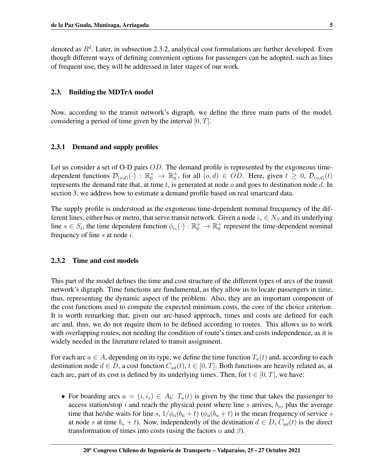denoted as  $R^d$ . Later, in subsection [2.3.2,](#page-4-0) analytical cost formulations are further developed. Even though different ways of defining convenient options for passengers can be adopted, such as lines of frequent use, they will be addressed in later stages of our work.

## 2.3. Building the MDTrA model

Now, according to the transit network's digraph, we define the three main parts of the model, considering a period of time given by the interval  $[0, T]$ .

#### 2.3.1 Demand and supply profiles

Let us consider a set of O-D pairs *OD*. The demand profile is represented by the exgoneous timedependent functions  $\mathcal{D}_{(o,d)}(\cdot)$  :  $\mathbb{R}_0^+ \to \mathbb{R}_0^+$ , for all  $(o,d) \in OD$ . Here, given  $t \geq 0$ ,  $\mathcal{D}_{(o,d)}(t)$ represents the demand rate that, at time  $t$ , is generated at node  $o$  and goes to destination node  $d$ . In section [3,](#page-7-0) we address how to estimate a demand profile based on real smartcard data.

The supply profile is understood as the exgoneous time-dependent nominal frecquency of the different lines, either bus or metro, that serve transit network. Given a node  $i_s \in N_S$  and its underlying line  $s \in S_i$ , the time dependent function  $\phi_{i_s}(\cdot) : \mathbb{R}_0^+ \to \mathbb{R}_0^+$  represent the time-dependent nominal frequency of line  $s$  at node  $i$ .

### <span id="page-4-0"></span>2.3.2 Time and cost models

This part of the model defines the time and cost structure of the different types of arcs of the transit network's digraph. Time functions are fundamental, as they allow us to locate passengers in time, thus, representing the dynamic aspect of the problem. Also, they are an important component of the cost functions used to compute the expected minimum costs, the core of the choice criterion. It is worth remarking that, given our arc-based approach, times and costs are defined for each arc and, thus, we do not require them to be defined according to routes. This allows us to work with overlapping routes, not needing the condition of route's times and costs independence, as it is widely needed in the literature related to transit assignment.

For each arc  $a \in A$ , depending on its type, we define the time function  $T_a(t)$  and, according to each destination node  $d \in D$ , a cost function  $C_{ad}(t)$ ,  $t \in [0, T]$ . Both functions are heavily related as, at each arc, part of its cost is defined by its underlying times. Then, for  $t \in [0, T]$ , we have:

• For boarding arcs  $a = (i, i_s) \in A_b$ :  $T_a(t)$  is given by the time that takes the passenger to access station/stop i and reach the physical point where line s arrives,  $b_a$ , plus the average time that he/she waits for line s,  $1/\phi_a(b_a + t)$  ( $\phi_a(b_a + t)$ ) is the mean frequency of service s at node s at time  $b_a + t$ ). Now, independently of the destination  $d \in D$ ,  $C_{ad}(t)$  is the direct transformation of times into costs (using the factors  $\alpha$  and  $\beta$ ).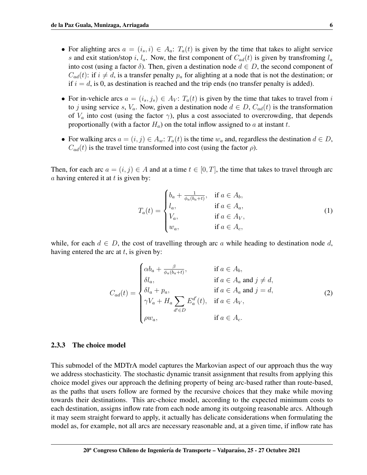- For alighting arcs  $a = (i_s, i) \in A_a$ :  $T_a(t)$  is given by the time that takes to alight service s and exit station/stop i,  $l_a$ . Now, the first component of  $C_{ad}(t)$  is given by transfroming  $l_a$ into cost (using a factor  $\delta$ ). Then, given a destination node  $d \in D$ , the second component of  $C_{ad}(t)$ : if  $i \neq d$ , is a transfer penalty  $p_a$  for alighting at a node that is not the destination; or if  $i = d$ , is 0, as destination is reached and the trip ends (no transfer penalty is added).
- For in-vehicle arcs  $a = (i_s, j_s) \in A_V$ :  $T_a(t)$  is given by the time that takes to travel from i to j using service s,  $V_a$ . Now, given a destination node  $d \in D$ ,  $C_{ad}(t)$  is the transformation of  $V_a$  into cost (using the factor  $\gamma$ ), plus a cost associated to overcrowding, that depends proportionally (with a factor  $H_a$ ) on the total inflow assigned to a at instant t.
- For walking arcs  $a = (i, j) \in A_w$ :  $T_a(t)$  is the time  $w_a$  and, regardless the destination  $d \in D$ ,  $C_{ad}(t)$  is the travel time transformed into cost (using the factor  $\rho$ ).

Then, for each arc  $a = (i, j) \in A$  and at a time  $t \in [0, T]$ , the time that takes to travel through arc a having entered it at t is given by:

<span id="page-5-1"></span><span id="page-5-0"></span>
$$
T_a(t) = \begin{cases} b_a + \frac{1}{\phi_a(b_a+t)}, & \text{if } a \in A_b, \\ l_a, & \text{if } a \in A_a, \\ V_a, & \text{if } a \in A_V, \\ w_a, & \text{if } a \in A_c, \end{cases}
$$
 (1)

while, for each  $d \in D$ , the cost of travelling through arc a while heading to destination node d, having entered the arc at  $t$ , is given by:

$$
C_{ad}(t) = \begin{cases} \alpha b_a + \frac{\beta}{\phi_a(b_a+t)}, & \text{if } a \in A_b, \\ \delta l_a, & \text{if } a \in A_a \text{ and } j \neq d, \\ \delta l_a + p_a, & \text{if } a \in A_a \text{ and } j = d, \\ \gamma V_a + H_a \sum_{d' \in D} E_a^{d'}(t), & \text{if } a \in A_V, \\ \rho w_a, & \text{if } a \in A_c. \end{cases}
$$
(2)

#### 2.3.3 The choice model

This submodel of the MDTrA model captures the Markovian aspect of our approach thus the way we address stochasticity. The stochastic dynamic transit assignment that results from applying this choice model gives our approach the defining property of being arc-based rather than route-based, as the paths that users follow are formed by the recursive choices that they make while moving towards their destinations. This arc-choice model, according to the expected minimum costs to each destination, assigns inflow rate from each node among its outgoing reasonable arcs. Although it may seem straight forward to apply, it actually has delicate considerations when formulating the model as, for example, not all arcs are necessary reasonable and, at a given time, if inflow rate has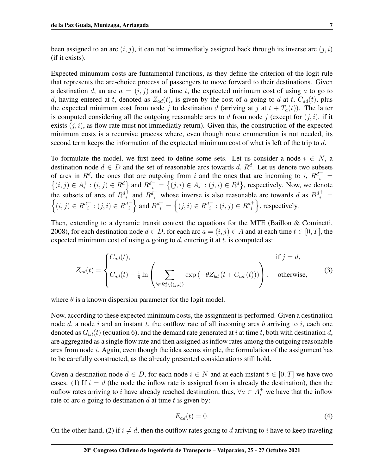been assigned to an arc  $(i, j)$ , it can not be immediatly assigned back through its inverse arc  $(j, i)$ (if it exists).

Expected minumum costs are funtamental functions, as they define the criterion of the logit rule that represents the arc-choice process of passengers to move forward to their destinations. Given a destination d, an arc  $a = (i, j)$  and a time t, the exptected minimum cost of using a to go to d, having entered at t, denoted as  $Z_{ad}(t)$ , is given by the cost of a going to d at t,  $C_{ad}(t)$ , plus the expected minimum cost from node j to destination d (arriving at j at  $t + T_a(t)$ ). The latter is computed considering all the outgoing reasonable arcs to d from node j (except for  $(j, i)$ , if it exists  $(i, i)$ , as flow rate must not immediatly return). Given this, the construction of the expected minimum costs is a recursive process where, even though route enumeration is not needed, its second term keeps the information of the exptected minimum cost of what is left of the trip to d.

To formulate the model, we first need to define some sets. Let us consider a node  $i \in N$ , a destination node  $d \in D$  and the set of reasonable arcs towards d,  $R^d$ . Let us denote two subsets of arcs in  $R^d$ , the ones that are outgoing from i and the ones that are incoming to i,  $R^d{}_i^+$  =  ${(i, j) \in A_i^+}$  $i_t^+:(i,j) \in R^d$  and  $R^{d-} = \{(j,i) \in A_i^ \{i}^-(i,i) \in R^d\}$ , respectively. Now, we denote the subsets of arcs of  $R^{d^+_i}$  and  $R^{d^-_i}$  whose inverse is also reasonable arc towards d as  $B^{d^+_i}$  =  $\left\{(i,j)\in R_d^{d^+}: (j,i)\in R_d^{d^-}\right\}$  and  $B_d^{d^-} = \left\{(j,i)\in R_d^{d^-}: (i,j)\in R_d^{d^+}\right\}$ , respectively.

Then, extending to a dynamic transit context the equations for the MTE [\(Baillon & Cominetti,](#page-13-3) [2008\)](#page-13-3), for each destination node  $d \in D$ , for each arc  $a = (i, j) \in A$  and at each time  $t \in [0, T]$ , the expected minimum cost of using a going to  $d$ , entering it at  $t$ , is computed as:

$$
Z_{ad}(t) = \begin{cases} C_{ad}(t), & \text{if } j = d, \\ C_{ad}(t) - \frac{1}{\theta} \ln \left( \sum_{b \in R_j^d \setminus \{(j,i)\}} \exp \left( -\theta Z_{bd} \left( t + C_{ad} \left( t \right) \right) \right) \right), & \text{otherwise,} \end{cases}
$$
(3)

where  $\theta$  is a known dispersion parameter for the logit model.

Now, according to these expected minimum costs, the assignment is performed. Given a destination node  $d$ , a node  $i$  and an instant  $t$ , the outflow rate of all incoming arcs  $b$  arriving to  $i$ , each one denoted as  $G_{bd}(t)$  (equation [6\)](#page-7-1), and the demand rate generated at i at time t, both with destination d, are aggregated as a single flow rate and then assigned as inflow rates among the outgoing reasonable arcs from node  $i$ . Again, even though the idea seems simple, the formulation of the assignment has to be carefully constructed, as the already presented considerations still hold.

Given a destination node  $d \in D$ , for each node  $i \in N$  and at each instant  $t \in [0, T]$  we have two cases. (1) If  $i = d$  (the node the inflow rate is assigned from is already the destination), then the ouflow rates arriving to i have already reached destination, thus,  $\forall a \in A_i^+$  we have that the inflow rate of arc  $\alpha$  going to destination  $d$  at time  $t$  is given by:

$$
E_{ad}(t) = 0.\t\t(4)
$$

On the other hand, (2) if  $i \neq d$ , then the outflow rates going to d arriving to i have to keep traveling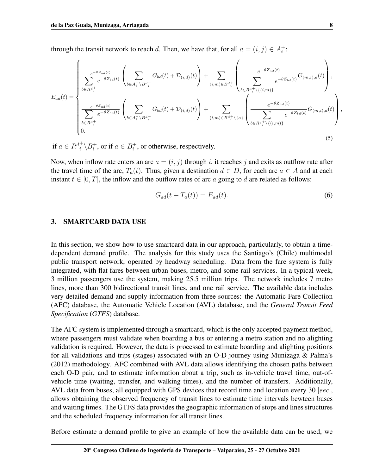through the transit network to reach d. Then, we have that, for all  $a = (i, j) \in A_i^+$  $_i^+$ :

$$
E_{ad}(t) = \begin{cases} \frac{e^{-\theta Z_{ad}(t)}}{\sum_{b \in R^{d_i^+}} e^{-\theta Z_{bd}(t)}} \left( \sum_{b \in A_i^- \setminus B^{d_i^-}} G_{bd}(t) + \mathcal{D}_{(i,d)}(t) \right) + \sum_{(i,m) \in B^{d_i^+}} \left( \frac{e^{-\theta Z_{ad}(t)}}{\sum_{b \in R^{d_i^+} \setminus \{(i,m)\}} e^{-\theta Z_{bd}(t)}} G_{(m,i),d}(t) \right), \\ \frac{e^{-\theta Z_{ad}(t)}}{\sum_{b \in R^{d_i^+}} e^{-\theta Z_{bd}(t)}} \left( \sum_{b \in A_i^- \setminus B^{d_i^-}} G_{bd}(t) + \mathcal{D}_{(i,d)}(t) \right) + \sum_{(i,m) \in B^{d_i^+} \setminus \{a\}} \left( \frac{e^{-\theta Z_{ad}(t)}}{\sum_{b \in R^{d_i^+} \setminus \{(i,m)\}} e^{-\theta Z_{bd}(t)}} G_{(m,i),d}(t) \right) \\ 0. \end{cases}
$$
(5)

if  $a \in R^{d^+}_i \backslash B^+_i$  $i^+$ , or if  $a \in B_i^+$  $i<sub>i</sub>$ , or otherwise, respectively.

Now, when inflow rate enters an arc  $a = (i, j)$  through i, it reaches j and exits as outflow rate after the travel time of the arc,  $T_a(t)$ . Thus, given a destination  $d \in D$ , for each arc  $a \in A$  and at each instant  $t \in [0, T]$ , the inflow and the outflow rates of arc a going to d are related as follows:

<span id="page-7-1"></span>
$$
G_{ad}(t + T_a(t)) = E_{ad}(t). \tag{6}
$$

#### <span id="page-7-0"></span>3. SMARTCARD DATA USE

In this section, we show how to use smartcard data in our approach, particularly, to obtain a timedependent demand profile. The analysis for this study uses the Santiago's (Chile) multimodal public transport network, operated by headway scheduling. Data from the fare system is fully integrated, with flat fares between urban buses, metro, and some rail services. In a typical week, 3 million passengers use the system, making 25.5 million trips. The network includes 7 metro lines, more than 300 bidirectional transit lines, and one rail service. The available data includes very detailed demand and supply information from three sources: the Automatic Fare Collection (AFC) database, the Automatic Vehicle Location (AVL) database, and the *General Transit Feed Specification* (*GTFS*) database.

The AFC system is implemented through a smartcard, which is the only accepted payment method, where passengers must validate when boarding a bus or entering a metro station and no alighting validation is required. However, the data is processed to estimate boarding and alighting positions for all validations and trips (stages) associated with an O-D journey using [Munizaga & Palma'](#page-14-10)s (2012) methodology. AFC combined with AVL data allows identifying the chosen paths between each O-D pair, and to estimate information about a trip, such as in-vehicle travel time, out-ofvehicle time (waiting, transfer, and walking times), and the number of transfers. Additionally, AVL data from buses, all equipped with GPS devices that record time and location every 30 [sec], allows obtaining the observed frequency of transit lines to estimate time intervals bewteen buses and waiting times. The GTFS data provides the geographic information of stops and lines structures and the scheduled frequency information for all transit lines.

Before estimate a demand profile to give an example of how the available data can be used, we

,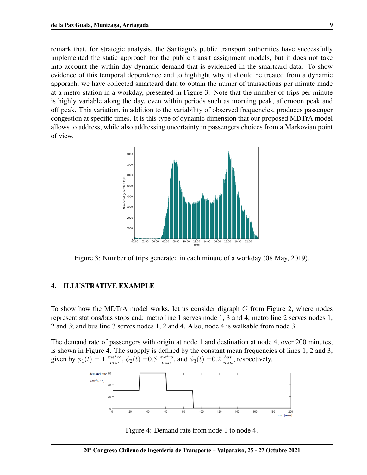remark that, for strategic analysis, the Santiago's public transport authorities have successfully implemented the static approach for the public transit assignment models, but it does not take into account the within-day dynamic demand that is evidenced in the smartcard data. To show evidence of this temporal dependence and to highlight why it should be treated from a dynamic apporach, we have collected smartcard data to obtain the numer of transactions per minute made at a metro station in a workday, presented in Figure [3.](#page-8-0) Note that the number of trips per minute is highly variable along the day, even within periods such as morning peak, afternoon peak and off peak. This variation, in addition to the variability of observed frequencies, produces passenger congestion at specific times. It is this type of dynamic dimension that our proposed MDTrA model allows to address, while also addressing uncertainty in passengers choices from a Markovian point of view.

<span id="page-8-0"></span>

Figure 3: Number of trips generated in each minute of a workday (08 May, 2019).

#### 4. ILLUSTRATIVE EXAMPLE

To show how the MDTrA model works, let us consider digraph G from Figure [2,](#page-3-1) where nodes represent stations/bus stops and: metro line 1 serves node 1, 3 and 4; metro line 2 serves nodes 1, 2 and 3; and bus line 3 serves nodes 1, 2 and 4. Also, node 4 is walkable from node 3.

The demand rate of passengers with origin at node 1 and destination at node 4, over 200 minutes, is shown in Figure [4.](#page-8-1) The suppply is defined by the constant mean frequencies of lines 1, 2 and 3, given by  $\phi_1(t) = 1 \frac{metric}{min}$ ,  $\phi_2(t) = 0.5 \frac{metric}{min}$ , and  $\phi_3(t) = 0.2 \frac{bus}{min}$ , respectively.



<span id="page-8-1"></span>Figure 4: Demand rate from node 1 to node 4.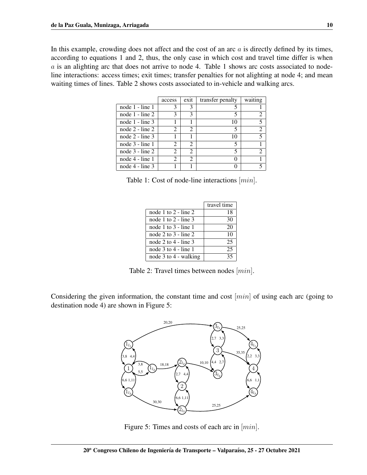In this example, crowding does not affect and the cost of an arc  $a$  is directly defined by its times, according to equations [1](#page-5-0) and [2,](#page-5-1) thus, the only case in which cost and travel time differ is when a is an alighting arc that does not arrive to node 4. Table [1](#page-9-0) shows arc costs associated to nodeline interactions: access times; exit times; transfer penalties for not alighting at node 4; and mean waiting times of lines. Table [2](#page-9-1) shows costs associated to in-vehicle and walking arcs.

|                   | access         | exit                        | transfer penalty | waiting                     |
|-------------------|----------------|-----------------------------|------------------|-----------------------------|
| node 1 - line 1   | 3              | 3                           |                  |                             |
| node $1 - line 2$ | 3              | 3                           | 5                | $\mathcal{D}_{\mathcal{L}}$ |
| node $1 - line 3$ |                |                             | 10               | 5                           |
| node $2 - line 2$ | 2              | 2                           | 5                | $\overline{c}$              |
| node $2 - line 3$ |                |                             | 10               | 5                           |
| node $3 -$ line 1 | 2              | $\mathcal{D}_{\mathcal{L}}$ | 5                |                             |
| node $3 - line 2$ | $\mathfrak{D}$ | $\mathcal{D}_{\mathcal{L}}$ | 5                | $\mathfrak{D}$              |
| node 4 - line 1   | $\mathfrak{D}$ | 2                           |                  |                             |
| node 4 - line 3   |                |                             |                  |                             |

Table 1: Cost of node-line interactions [min].

<span id="page-9-1"></span><span id="page-9-0"></span>

|                           | travel time |
|---------------------------|-------------|
| node 1 to $2 -$ line 2    | 18          |
| node 1 to $2 -$ line 3    | 30          |
| node 1 to $3$ - line 1    | 20          |
| node 2 to $3$ - line 2    | 10          |
| node 2 to $4$ - line 3    | 25          |
| node $3$ to $4$ - line 1  | 25          |
| node $3$ to $4$ - walking | 35          |

Table 2: Travel times between nodes [min].

Considering the given information, the constant time and cost  $[min]$  of using each arc (going to destination node 4) are shown in Figure [5:](#page-9-2)



<span id="page-9-2"></span>Figure 5: Times and costs of each arc in  $[min]$ .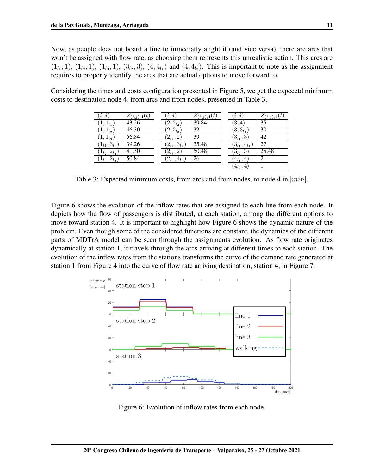Now, as people does not board a line to inmediatly alight it (and vice versa), there are arcs that won't be assigned with flow rate, as choosing them represents this unrealistic action. This arcs are  $(1_{l_1}, 1), (1_{l_2}, 1), (1_{l_3}, 1), (3_{l_2}, 3), (4, 4_{l_1})$  and  $(4, 4_{l_3})$ . This is important to note as the assignment requires to properly identify the arcs that are actual options to move forward to.

Considering the times and costs configuration presented in Figure [5,](#page-9-2) we get the expecetd minimum costs to destination node 4, from arcs and from nodes, presented in Table [3.](#page-10-0)

<span id="page-10-0"></span>

| (i, j)               | $Z_{(i,j),4}(t)$ | (i, j)              | $Z_{(i,j),4}(t)$ | $\iota, \iota$      | $Z_{(i,j),4}(t)$ |
|----------------------|------------------|---------------------|------------------|---------------------|------------------|
| $(1, 1_{l_1})$       | 43.26            | $(2,2_{l_2})$       | 39.84            | (3,4)               | 35               |
| $(1,1_{l_2})$        | 46.30            | $(2,2_{l_3})$       | 32               | $(3,3_{l_1})$       | 30               |
| $(1, 1_{l_3})$       | 56.84            | $(2_{l_2},2)$       | 39               | $(3_{l_1},3)$       | 42               |
| $(1_{l1},3_{l_1})$   | 39.26            | $(2_{l_2},3_{l_2})$ | 35.48            | $(3_{l_1},4_{l_1})$ | 27               |
| $(1_{l_2}, 2_{l_2})$ | 41.30            | $(2_{l_3}, 2)$      | 50.48            | $(3_{l_2},3)$       | 25.48            |
| $(1_{l_3}, 2_{l_3})$ | 50.84            | $(2_{l_3},4_{l_3})$ | 26               | $(4_{l_1}, 4)$      | $\overline{c}$   |
|                      |                  |                     |                  | $(4_{l_3},$<br>4,   |                  |

Table 3: Expected minimum costs, from arcs and from nodes, to node 4 in [min].

Figure [6](#page-10-1) shows the evolution of the inflow rates that are assigned to each line from each node. It depicts how the flow of passengers is distributed, at each station, among the different options to move toward station 4. It is important to highlight how Figure [6](#page-10-1) shows the dynamic nature of the problem. Even though some of the considered functions are constant, the dynamics of the different parts of MDTrA model can be seen through the assignments evolution. As flow rate originates dynamically at station 1, it travels through the arcs arriving at different times to each station. The evolution of the inflow rates from the stations transforms the curve of the demand rate generated at station 1 from Figure [4](#page-8-1) into the curve of flow rate arriving destination, station 4, in Figure [7.](#page-11-0)



<span id="page-10-1"></span>Figure 6: Evolution of inflow rates from each node.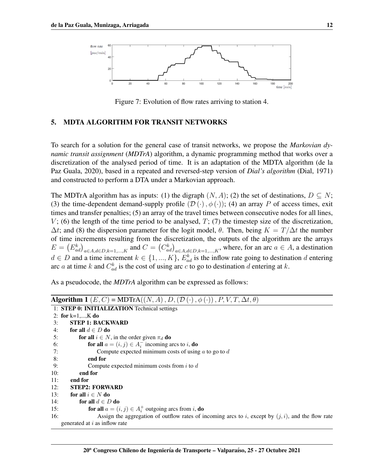

<span id="page-11-0"></span>Figure 7: Evolution of flow rates arriving to station 4.

## 5. MDTA ALGORITHM FOR TRANSIT NETWORKS

To search for a solution for the general case of transit networks, we propose the *Markovian dynamic transit assignment* (*MDTrA*) algorithm, a dynamic programming method that works over a discretization of the analysed period of time. It is an adaptation of the MDTA algorithm [\(de la](#page-13-5) [Paz Guala, 2020\)](#page-13-5), based in a repeated and reversed-step version of *Dial's algorithm* [\(Dial, 1971\)](#page-14-8) and constructed to perform a DTA under a Markovian approach.

The MDTrA algorithm has as inputs: (1) the digraph  $(N, A)$ ; (2) the set of destinations,  $D \subseteq N$ ; (3) the time-dependent demand-supply profile  $(\mathcal{D}(\cdot), \phi(\cdot))$ ; (4) an array P of access times, exit times and transfer penalties; (5) an array of the travel times between consecutive nodes for all lines,  $V$ ; (6) the length of the time period to be analysed,  $T$ ; (7) the timestep size of the discretization,  $\Delta t$ ; and (8) the dispersion parameter for the logit model,  $\theta$ . Then, being  $K = T/\Delta t$  the number of time increments resulting from the discretization, the outputs of the algorithm are the arrays  $E = (E_{ad}^k)_{a \in A, d \in D, k=1,\dots,K}$  and  $C = (C_{ad}^k)_{a \in A, d \in D, k=1,\dots,K}$ , where, for an arc  $a \in A$ , a destination  $d \in D$  and a time increment  $k \in \{1, ..., K\}$ ,  $E_{ad}^k$  is the inflow rate going to destination d entering arc *a* at time *k* and  $C_{ad}^k$  is the cost of using arc *c* to go to destination *d* entering at *k*.

As a pseudocode, the *MDTrA* algorithm can be expressed as follows:

|     | <b>Algorithm 1</b> $(E, C)$ = MDTrA $((N, A), D, (D(\cdot), \phi(\cdot)), P, V, T, \Delta t, \theta)$ |
|-----|-------------------------------------------------------------------------------------------------------|
|     | 1: STEP 0: INITIALIZATION Technical settings                                                          |
|     | 2: for $k=1,,K$ do                                                                                    |
| 3:  | <b>STEP 1: BACKWARD</b>                                                                               |
| 4:  | for all $d \in D$ do                                                                                  |
| 5:  | for all $i \in N$ , in the order given $\pi_d$ do                                                     |
| 6:  | <b>for all</b> $a = (i, j) \in A_i^-$ incoming arcs to i, <b>do</b>                                   |
| 7:  | Compute expected minimum costs of using $a$ to go to $d$                                              |
| 8:  | end for                                                                                               |
| 9:  | Compute expected minimum costs from $i$ to $d$                                                        |
| 10: | end for                                                                                               |
| 11: | end for                                                                                               |
| 12: | <b>STEP2: FORWARD</b>                                                                                 |
| 13: | for all $i \in N$ do                                                                                  |
| 14: | for all $d \in D$ do                                                                                  |
| 15: | for all $a = (i, j) \in A_i^+$ outgoing arcs from i, do                                               |
| 16: | Assign the aggregation of outflow rates of incoming arcs to i, except by $(j, i)$ , and the flow rate |
|     | generated at i as inflow rate                                                                         |
|     |                                                                                                       |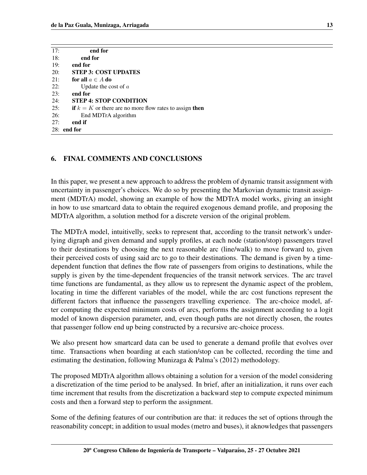| 17: | end for                                                   |
|-----|-----------------------------------------------------------|
| 18: | end for                                                   |
| 19: | end for                                                   |
| 20: | <b>STEP 3: COST UPDATES</b>                               |
| 21: | for all $a \in A$ do                                      |
| 22: | Update the cost of $\alpha$                               |
| 23: | end for                                                   |
| 24: | <b>STEP 4: STOP CONDITION</b>                             |
| 25: | if $k = K$ or there are no more flow rates to assign then |
| 26: | End MDTrA algorithm                                       |
| 27: | end if                                                    |
|     | $28:$ end for                                             |

# 6. FINAL COMMENTS AND CONCLUSIONS

In this paper, we present a new approach to address the problem of dynamic transit assignment with uncertainty in passenger's choices. We do so by presenting the Markovian dynamic transit assignment (MDTrA) model, showing an example of how the MDTrA model works, giving an insight in how to use smartcard data to obtain the required exogenous demand profile, and proposing the MDTrA algorithm, a solution method for a discrete version of the original problem.

The MDTrA model, intuitivelly, seeks to represent that, according to the transit network's underlying digraph and given demand and supply profiles, at each node (station/stop) passengers travel to their destinations by choosing the next reasonable arc (line/walk) to move forward to, given their perceived costs of using said arc to go to their destinations. The demand is given by a timedependent function that defines the flow rate of passengers from origins to destinations, while the supply is given by the time-dependent frequencies of the transit network services. The arc travel time functions are fundamental, as they allow us to represent the dynamic aspect of the problem, locating in time the different variables of the model, while the arc cost functions represent the different factors that influence the passengers travelling experience. The arc-choice model, after computing the expected minimum costs of arcs, performs the assignment according to a logit model of known dispersion parameter, and, even though paths are not directly chosen, the routes that passenger follow end up being constructed by a recursive arc-choice process.

We also present how smartcard data can be used to generate a demand profile that evolves over time. Transactions when boarding at each station/stop can be collected, recording the time and estimating the destination, following [Munizaga & Palma'](#page-14-10)s (2012) methodology.

The proposed MDTrA algorithm allows obtaining a solution for a version of the model considering a discretization of the time period to be analysed. In brief, after an initialization, it runs over each time increment that results from the discretization a backward step to compute expected minimum costs and then a forward step to perform the assignment.

Some of the defining features of our contribution are that: it reduces the set of options through the reasonability concept; in addition to usual modes (metro and buses), it aknowledges that passengers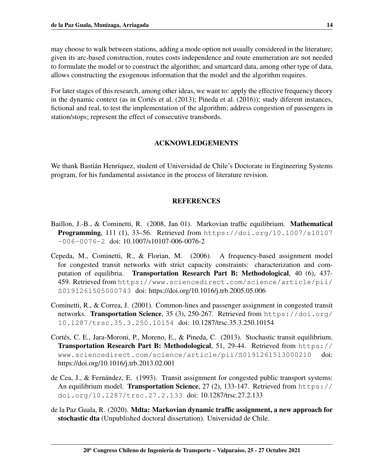may choose to walk between stations, adding a mode option not usually considered in the literature; given its arc-based construction, routes costs independence and route enumeration are not needed to formulate the model or to construct the algorithm; and smartcard data, among other type of data, allows constructing the exogenous information that the model and the algorithm requires.

For later stages of this research, among other ideas, we want to: apply the effective frequency theory in the dynamic context (as in Cortés et al.  $(2013)$ ; [Pineda et al.](#page-14-6)  $(2016)$ ); study diferent instances, fictional and real, to test the implementation of the algorithm; address congestion of passengers in station/stops; represent the effect of consecutive transbords.

## ACKNOWLEDGEMENTS

We thank Bastián Henríquez, student of Universidad de Chile's Doctorate in Engineering Systems program, for his fundamental assistance in the process of literature revision.

## **REFERENCES**

- <span id="page-13-3"></span>Baillon, J.-B., & Cominetti, R. (2008, Jan 01). Markovian traffic equilibrium. Mathematical **Programming,** 111 (1),  $33-56$ . Retrieved from [https://doi.org/10.1007/s10107](https://doi.org/10.1007/s10107-006-0076-2)  $-006-0076-2$  doi:  $10.1007/s10107-006-0076-2$
- <span id="page-13-2"></span>Cepeda, M., Cominetti, R., & Florian, M. (2006). A frequency-based assignment model for congested transit networks with strict capacity constraints: characterization and computation of equilibria. Transportation Research Part B: Methodological, 40 (6), 437- 459. Retrieved from [https://www.sciencedirect.com/science/article/pii/](https://www.sciencedirect.com/science/article/pii/S0191261505000743) [S0191261505000743](https://www.sciencedirect.com/science/article/pii/S0191261505000743) doi: https://doi.org/10.1016/j.trb.2005.05.006
- <span id="page-13-1"></span>Cominetti, R., & Correa, J. (2001). Common-lines and passenger assignment in congested transit networks. Transportation Science, 35 (3), 250-267. Retrieved from [https://doi.org/](https://doi.org/10.1287/trsc.35.3.250.10154) [10.1287/trsc.35.3.250.10154](https://doi.org/10.1287/trsc.35.3.250.10154) doi: 10.1287/trsc.35.3.250.10154
- <span id="page-13-4"></span>Cortés, C. E., Jara-Moroni, P., Moreno, E., & Pineda, C. (2013). Stochastic transit equilibrium. Transportation Research Part B: Methodological, 51, 29-44. Retrieved from [https://](https://www.sciencedirect.com/science/article/pii/S0191261513000210) [www.sciencedirect.com/science/article/pii/S0191261513000210](https://www.sciencedirect.com/science/article/pii/S0191261513000210) doi: https://doi.org/10.1016/j.trb.2013.02.001
- <span id="page-13-0"></span>de Cea, J.,  $\&$  Fernández, E. (1993). Transit assignment for congested public transport systems: An equilibrium model. Transportation Science, 27 (2), 133-147. Retrieved from [https://](https://doi.org/10.1287/trsc.27.2.133) [doi.org/10.1287/trsc.27.2.133](https://doi.org/10.1287/trsc.27.2.133) doi: 10.1287/trsc.27.2.133
- <span id="page-13-5"></span>de la Paz Guala, R. (2020). Mdta: Markovian dynamic traffic assignment, a new approach for stochastic dta (Unpublished doctoral dissertation). Universidad de Chile.